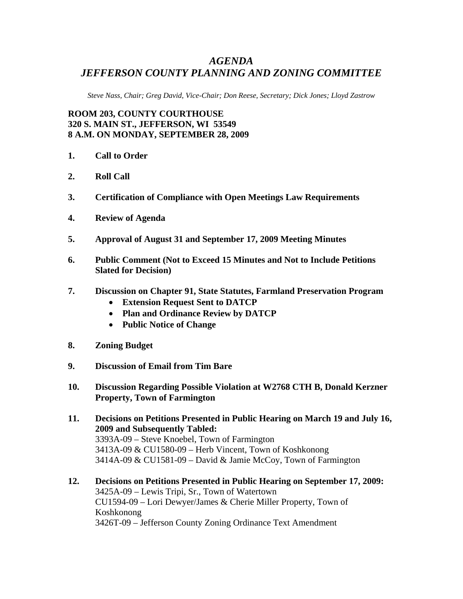## *AGENDA JEFFERSON COUNTY PLANNING AND ZONING COMMITTEE*

*Steve Nass, Chair; Greg David, Vice-Chair; Don Reese, Secretary; Dick Jones; Lloyd Zastrow* 

**ROOM 203, COUNTY COURTHOUSE 320 S. MAIN ST., JEFFERSON, WI 53549 8 A.M. ON MONDAY, SEPTEMBER 28, 2009** 

- **1. Call to Order**
- **2. Roll Call**
- **3. Certification of Compliance with Open Meetings Law Requirements**
- **4. Review of Agenda**
- **5. Approval of August 31 and September 17, 2009 Meeting Minutes**
- **6. Public Comment (Not to Exceed 15 Minutes and Not to Include Petitions Slated for Decision)**
- **7. Discussion on Chapter 91, State Statutes, Farmland Preservation Program** 
	- **Extension Request Sent to DATCP**
	- **Plan and Ordinance Review by DATCP**
	- **Public Notice of Change**
- **8. Zoning Budget**
- **9. Discussion of Email from Tim Bare**
- **10. Discussion Regarding Possible Violation at W2768 CTH B, Donald Kerzner Property, Town of Farmington**
- **11. Decisions on Petitions Presented in Public Hearing on March 19 and July 16, 2009 and Subsequently Tabled:**  3393A-09 – Steve Knoebel, Town of Farmington 3413A-09 & CU1580-09 – Herb Vincent, Town of Koshkonong 3414A-09 & CU1581-09 – David & Jamie McCoy, Town of Farmington
- **12. Decisions on Petitions Presented in Public Hearing on September 17, 2009:**  3425A-09 – Lewis Tripi, Sr., Town of Watertown CU1594-09 – Lori Dewyer/James & Cherie Miller Property, Town of Koshkonong 3426T-09 – Jefferson County Zoning Ordinance Text Amendment